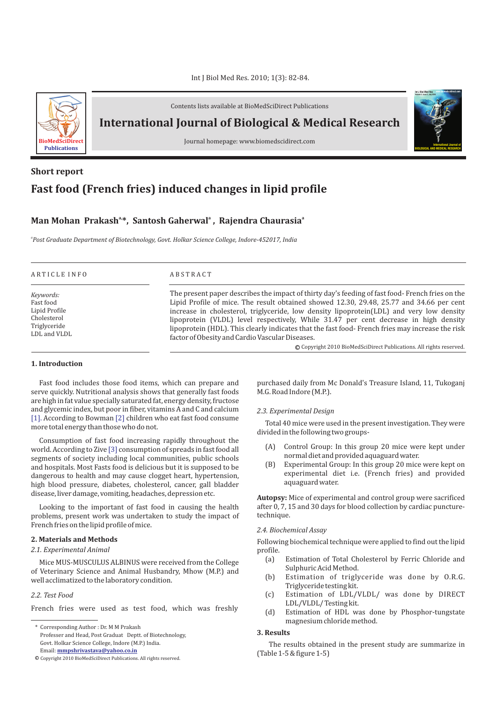

Contents lists available at BioMedSciDirect Publications

**International Journal of Biological & Medical Research** 

Journal homepage: www.biomedscidirect.com

# **Fast food (French fries) induced changes in lipid profile Short report**

## **Man Mohan Prakash**<sup>a\*</sup>, Santosh Gaherwal<sup>a</sup>, Rajendra Chaurasia<sup>a</sup>

*a Post Graduate Department of Biotechnology, Govt. Holkar Science College, Indore-452017, India*

| Keywords:<br>Fast food<br>Lipid Profile<br>Cholesterol<br>Triglyceride<br>LDL and VLDL | The present paper describes the impact of thirty day's feeding of fast food-French fries on the<br>Lipid Profile of mice. The result obtained showed 12.30, 29.48, 25.77 and 34.66 per cent<br>increase in cholesterol, triglyceride, low density lipoprotein(LDL) and very low density<br>lipoprotein (VLDL) level respectively, While 31.47 per cent decrease in high density<br>lipoprotein (HDL). This clearly indicates that the fast food-French fries may increase the risk<br>factor of Obesity and Cardio Vascular Diseases.<br>© Copyright 2010 BioMedSciDirect Publications. All rights reserved. |
|----------------------------------------------------------------------------------------|--------------------------------------------------------------------------------------------------------------------------------------------------------------------------------------------------------------------------------------------------------------------------------------------------------------------------------------------------------------------------------------------------------------------------------------------------------------------------------------------------------------------------------------------------------------------------------------------------------------|

## **1. Introduction**

Fast food includes those food items, which can prepare and serve quickly. Nutritional analysis shows that generally fast foods are high in fat value specially saturated fat, energy density, fructose and glycemic index, but poor in fiber, vitamins A and C and calcium [1]. According to Bowman [2] children who eat fast food consume more total energy than those who do not.

Consumption of fast food increasing rapidly throughout the world. According to Zive  $[3]$  consumption of spreads in fast food all segments of society including local communities, public schools and hospitals. Most Fasts food is delicious but it is supposed to be dangerous to health and may cause clogget heart, hypertension, high blood pressure, diabetes, cholesterol, cancer, gall bladder disease, liver damage, vomiting, headaches, depression etc.

Looking to the important of fast food in causing the health problems, present work was undertaken to study the impact of French fries on the lipid profile of mice.

#### **2. Materials and Methods**

#### *2.1. Experimental Animal*

Mice MUS-MUSCULUS ALBINUS were received from the College of Veterinary Science and Animal Husbandry, Mhow (M.P.) and well acclimatized to the laboratory condition.

#### *2.2. Test Food*

French fries were used as test food, which was freshly

\* Corresponding Author : Dr. M M Prakash Professer and Head, Post Graduat Deptt. of Biotechnology, Govt. Holkar Science College, Indore (M.P.) India. Email: **mmpshrivastava@yahoo.co.in**

purchased daily from Mc Donald's Treasure Island, 11, Tukoganj M.G. Road Indore (M.P.).

#### *2.3. Experimental Design*

Total 40 mice were used in the present investigation. They were divided in the following two groups-

- (A) Control Group: In this group 20 mice were kept under normal diet and provided aquaguard water.
- (B) Experimental Group: In this group 20 mice were kept on experimental diet i.e. (French fries) and provided aquaguard water.

**Autopsy:** Mice of experimental and control group were sacrificed after 0, 7, 15 and 30 days for blood collection by cardiac puncturetechnique.

## *2.4. Biochemical Assay*

Following biochemical technique were applied to find out the lipid profile.

- (a) Estimation of Total Cholesterol by Ferric Chloride and Sulphuric Acid Method.
- (b) Estimation of triglyceride was done by O.R.G. Triglyceride testing kit.
- (c) Estimation of LDL/VLDL/ was done by DIRECT LDL/VLDL/ Testing kit.
- (d) Estimation of HDL was done by Phosphor-tungstate magnesium chloride method.

## **3. Results**

The results obtained in the present study are summarize in (Table 1-5 & figure 1-5)



 $\mathbb O$  Copyright 2010 BioMedSciDirect Publications. All rights reserved.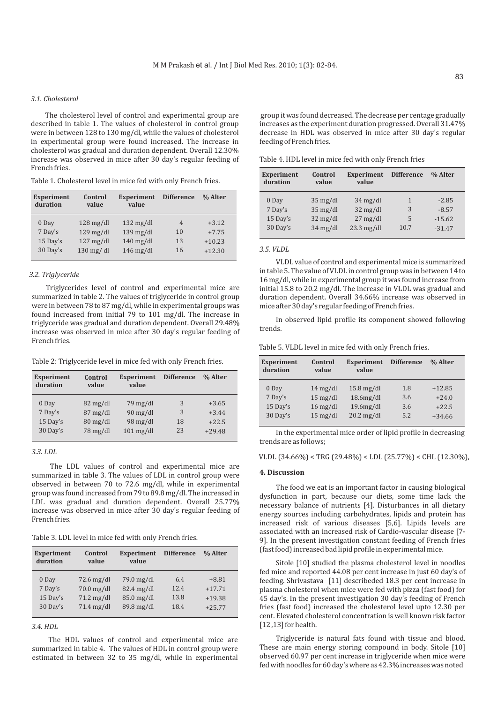## *3.1. Cholesterol*

The cholesterol level of control and experimental group are described in table 1. The values of cholesterol in control group were in between 128 to 130 mg/dl, while the values of cholesterol in experimental group were found increased. The increase in cholesterol was gradual and duration dependent. Overall 12.30% increase was observed in mice after 30 day's regular feeding of French fries.

Table 1. Cholesterol level in mice fed with only French fries.

| <b>Experiment</b><br>duration | Control<br>value       | <b>Experiment</b><br>value | <b>Difference</b> | % Alter  |
|-------------------------------|------------------------|----------------------------|-------------------|----------|
| 0 Day                         | $128 \,\mathrm{mg/dl}$ | $132 \text{ mg/dl}$        | $\overline{4}$    | $+3.12$  |
| 7 Day's                       | $129$ mg/dl            | $139$ mg/dl                | 10                | $+7.75$  |
| 15 Day's                      | $127 \text{ mg/dl}$    | $140$ mg/dl                | 13                | $+10.23$ |
| 30 Day's                      | $130$ mg/dl            | $146$ mg/dl                | 16                | $+12.30$ |

#### *3.2. Triglyceride*

Triglycerides level of control and experimental mice are summarized in table 2. The values of triglyceride in control group were in between 78 to 87 mg/dl, while in experimental groups was found increased from initial 79 to 101 mg/dl. The increase in triglyceride was gradual and duration dependent. Overall 29.48% increase was observed in mice after 30 day's regular feeding of French fries.

Table 2: Triglyceride level in mice fed with only French fries.

| <b>Experiment</b><br>duration | Control<br>value                 | <b>Experiment</b><br>value | <b>Difference</b> | % Alter  |
|-------------------------------|----------------------------------|----------------------------|-------------------|----------|
| 0 Day                         | $82 \text{ mg/dl}$               | $79 \,\mathrm{mg/dl}$      | 3                 | $+3.65$  |
| 7 Day's                       | $87 \text{ mg/dl}$               | $90$ mg/dl                 | 3                 | $+3.44$  |
| 15 Day's                      | $80 \frac{\text{mg}}{\text{dl}}$ | $98 \text{ mg/dl}$         | 18                | $+22.5$  |
| 30 Day's                      | $78 \text{ mg/dl}$               | $101$ mg/dl                | 23                | $+29.48$ |

## *3.3. LDL*

The LDL values of control and experimental mice are summarized in table 3. The values of LDL in control group were observed in between 70 to 72.6 mg/dl, while in experimental group was found increased from 79 to 89.8 mg/dl. The increased in LDL was gradual and duration dependent. Overall 25.77% increase was observed in mice after 30 day's regular feeding of French fries.

Table 3. LDL level in mice fed with only French fries.

| <b>Experiment</b><br>duration | Control<br>value     | <b>Experiment</b><br>value | <b>Difference</b> | % Alter  |
|-------------------------------|----------------------|----------------------------|-------------------|----------|
| 0 Day                         | $72.6 \text{ mg/dl}$ | 79.0 mg/dl                 | 6.4               | $+8.81$  |
| 7 Day's                       | $70.0$ mg/dl         | $82.4$ mg/dl               | 12.4              | $+17.71$ |
| 15 Day's                      | $71.2 \text{ mg/dl}$ | 85.0 mg/dl                 | 13.8              | $+19.38$ |
| 30 Day's                      | $71.4$ mg/dl         | 89.8 mg/dl                 | 18.4              | $+25.77$ |

*<sup>3.4.</sup> HDL* 

The HDL values of control and experimental mice are summarized in table 4. The values of HDL in control group were estimated in between 32 to 35 mg/dl, while in experimental group it was found decreased. The decrease per centage gradually increases as the experiment duration progressed. Overall 31.47% decrease in HDL was observed in mice after 30 day's regular feeding of French fries.

Table 4. HDL level in mice fed with only French fries

| only French fries.   |                    | <b>Experiment</b><br>duration | Control<br>value                         | Experiment<br>value                        | <b>Difference</b> | % Alter              |
|----------------------|--------------------|-------------------------------|------------------------------------------|--------------------------------------------|-------------------|----------------------|
| <b>Difference</b>    | % Alter            | 0 Day<br>7 Day's              | $35 \text{ mg/dl}$<br>$35 \text{ mg/dl}$ | $34 \text{ mg/dl}$<br>$32 \text{ mg/dl}$   | 3                 | $-2.85$<br>$-8.57$   |
| $\overline{4}$<br>10 | $+3.12$<br>$+7.75$ | 15 Day's<br>30 Day's          | $32 \text{ mg/dl}$<br>$34 \text{ mg/dl}$ | $27 \text{ mg/dl}$<br>$23.3 \text{ mg/dl}$ | 5<br>10.7         | $-15.62$<br>$-31.47$ |

## *3.5. VLDL*

VLDL value of control and experimental mice is summarized in table 5. The value of VLDL in control group was in between 14 to 16 mg/dl, while in experimental group it was found increase from initial 15.8 to 20.2 mg/dl. The increase in VLDL was gradual and duration dependent. Overall 34.66% increase was observed in mice after 30 day's regular feeding of French fries.

In observed lipid profile its component showed following trends.

Table 5. VLDL level in mice fed with only French fries.

| <b>Experiment</b><br>duration | Control<br>value               | <b>Experiment</b><br>value | <b>Difference</b> | % Alter  |
|-------------------------------|--------------------------------|----------------------------|-------------------|----------|
| 0 Day                         | $14 \text{ mg/dl}$             | $15.8 \text{ mg/dl}$       | 1.8               | $+12.85$ |
| 7 Day's                       | $15 \text{ mg/dl}$             | $18.6$ mg/dl               | 3.6               | $+24.0$  |
| 15 Day's                      | $16 \,\mathrm{mg}/\mathrm{dl}$ | $19.6$ mg/dl               | 3.6               | $+22.5$  |
| 30 Day's                      | $15 \text{ mg/dl}$             | $20.2$ mg/dl               | 5.2               | $+34.66$ |

In the experimental mice order of lipid profile in decreasing trends are as follows;

VLDL (34.66%) < TRG (29.48%) < LDL (25.77%) < CHL (12.30%),

#### **4. Discussion**

The food we eat is an important factor in causing biological dysfunction in part, because our diets, some time lack the necessary balance of nutrients [4]. Disturbances in all dietary energy sources including carbohydrates, lipids and protein has increased risk of various diseases [5,6]. Lipids levels are associated with an increased risk of Cardio-vascular disease [7- 9]. In the present investigation constant feeding of French fries (fast food) increased bad lipid profile in experimental mice.

Sitole [10] studied the plasma cholesterol level in noodles fed mice and reported 44.08 per cent increase in just 60 day's of feeding. Shrivastava [11] describeded 18.3 per cent increase in plasma cholesterol when mice were fed with pizza (fast food) for 45 day's. In the present investigation 30 day's feeding of French fries (fast food) increased the cholesterol level upto 12.30 per cent. Elevated cholesterol concentration is well known risk factor [12 ,13] for health.

Triglyceride is natural fats found with tissue and blood. These are main energy storing compound in body. Sitole [10] observed 60.97 per cent increase in triglyceride when mice were fed with noodles for 60 day's where as 42.3% increases was noted